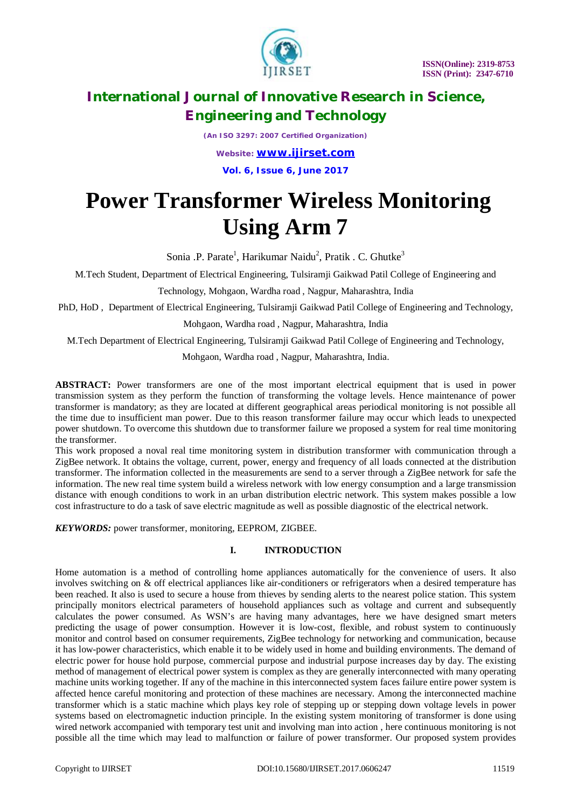

*(An ISO 3297: 2007 Certified Organization) Website: [www.ijirset.com](http://www.ijirset.com)* **Vol. 6, Issue 6, June 2017**

# **Power Transformer Wireless Monitoring Using Arm 7**

Sonia .P. Parate<sup>1</sup>, Harikumar Naidu<sup>2</sup>, Pratik . C. Ghutke<sup>3</sup>

M.Tech Student, Department of Electrical Engineering, Tulsiramji Gaikwad Patil College of Engineering and

Technology, Mohgaon, Wardha road , Nagpur, Maharashtra, India

PhD, HoD , Department of Electrical Engineering, Tulsiramji Gaikwad Patil College of Engineering and Technology,

Mohgaon, Wardha road , Nagpur, Maharashtra, India

M.Tech Department of Electrical Engineering, Tulsiramji Gaikwad Patil College of Engineering and Technology,

Mohgaon, Wardha road , Nagpur, Maharashtra, India.

**ABSTRACT:** Power transformers are one of the most important electrical equipment that is used in power transmission system as they perform the function of transforming the voltage levels. Hence maintenance of power transformer is mandatory; as they are located at different geographical areas periodical monitoring is not possible all the time due to insufficient man power. Due to this reason transformer failure may occur which leads to unexpected power shutdown. To overcome this shutdown due to transformer failure we proposed a system for real time monitoring the transformer.

This work proposed a noval real time monitoring system in distribution transformer with communication through a ZigBee network. It obtains the voltage, current, power, energy and frequency of all loads connected at the distribution transformer. The information collected in the measurements are send to a server through a ZigBee network for safe the information. The new real time system build a wireless network with low energy consumption and a large transmission distance with enough conditions to work in an urban distribution electric network. This system makes possible a low cost infrastructure to do a task of save electric magnitude as well as possible diagnostic of the electrical network.

*KEYWORDS:* power transformer, monitoring, EEPROM, ZIGBEE*.*

# **I. INTRODUCTION**

Home automation is a method of controlling home appliances automatically for the convenience of users. It also involves switching on & off electrical appliances like air-conditioners or refrigerators when a desired temperature has been reached. It also is used to secure a house from thieves by sending alerts to the nearest police station. This system principally monitors electrical parameters of household appliances such as voltage and current and subsequently calculates the power consumed. As WSN's are having many advantages, here we have designed smart meters predicting the usage of power consumption. However it is low-cost, flexible, and robust system to continuously monitor and control based on consumer requirements, ZigBee technology for networking and communication, because it has low-power characteristics, which enable it to be widely used in home and building environments. The demand of electric power for house hold purpose, commercial purpose and industrial purpose increases day by day. The existing method of management of electrical power system is complex as they are generally interconnected with many operating machine units working together. If any of the machine in this interconnected system faces failure entire power system is affected hence careful monitoring and protection of these machines are necessary. Among the interconnected machine transformer which is a static machine which plays key role of stepping up or stepping down voltage levels in power systems based on electromagnetic induction principle. In the existing system monitoring of transformer is done using wired network accompanied with temporary test unit and involving man into action , here continuous monitoring is not possible all the time which may lead to malfunction or failure of power transformer. Our proposed system provides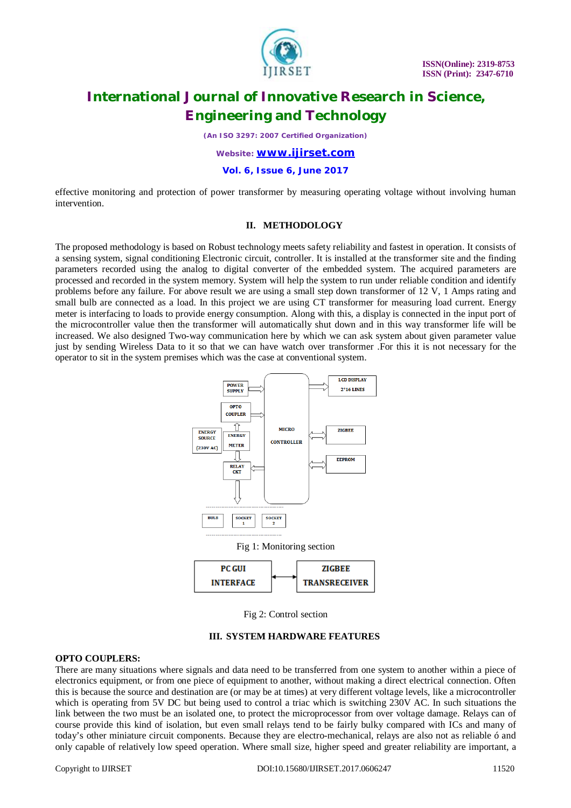

*(An ISO 3297: 2007 Certified Organization)*

### *Website: [www.ijirset.com](http://www.ijirset.com)*

**Vol. 6, Issue 6, June 2017**

effective monitoring and protection of power transformer by measuring operating voltage without involving human intervention.

## **II. METHODOLOGY**

The proposed methodology is based on Robust technology meets safety reliability and fastest in operation. It consists of a sensing system, signal conditioning Electronic circuit, controller. It is installed at the transformer site and the finding parameters recorded using the analog to digital converter of the embedded system. The acquired parameters are processed and recorded in the system memory. System will help the system to run under reliable condition and identify problems before any failure. For above result we are using a small step down transformer of 12 V, 1 Amps rating and small bulb are connected as a load. In this project we are using CT transformer for measuring load current. Energy meter is interfacing to loads to provide energy consumption. Along with this, a display is connected in the input port of the microcontroller value then the transformer will automatically shut down and in this way transformer life will be increased. We also designed Two-way communication here by which we can ask system about given parameter value just by sending Wireless Data to it so that we can have watch over transformer .For this it is not necessary for the operator to sit in the system premises which was the case at conventional system.



Fig 2: Control section

#### **III. SYSTEM HARDWARE FEATURES**

### **OPTO COUPLERS:**

There are many situations where signals and data need to be transferred from one system to another within a piece of electronics equipment, or from one piece of equipment to another, without making a direct electrical connection. Often this is because the source and destination are (or may be at times) at very different voltage levels, like a microcontroller which is operating from 5V DC but being used to control a triac which is switching 230V AC. In such situations the link between the two must be an isolated one, to protect the microprocessor from over voltage damage. Relays can of course provide this kind of isolation, but even small relays tend to be fairly bulky compared with ICs and many of today's other miniature circuit components. Because they are electro-mechanical, relays are also not as reliable ó and only capable of relatively low speed operation. Where small size, higher speed and greater reliability are important, a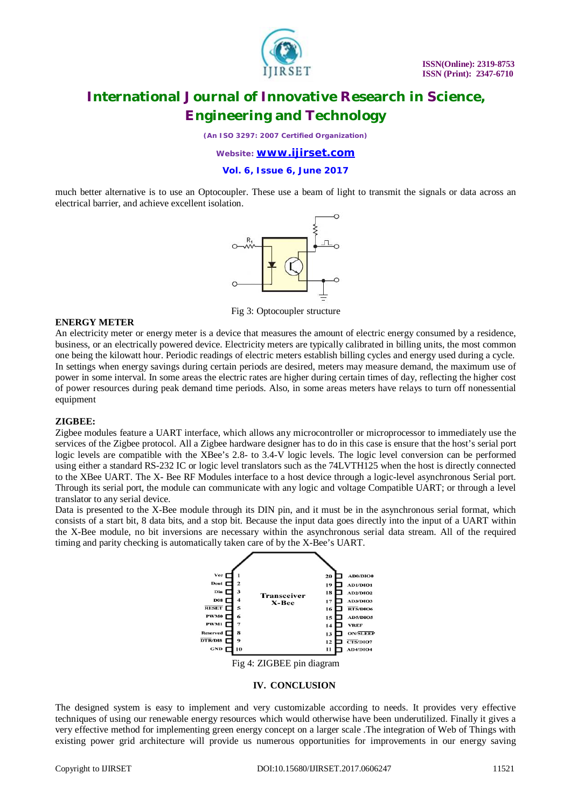

*(An ISO 3297: 2007 Certified Organization)*

### *Website: [www.ijirset.com](http://www.ijirset.com)*

**Vol. 6, Issue 6, June 2017**

much better alternative is to use an Optocoupler. These use a beam of light to transmit the signals or data across an electrical barrier, and achieve excellent isolation.



Fig 3: Optocoupler structure

### **ENERGY METER**

An electricity meter or energy meter is a device that measures the amount of electric energy consumed by a residence, business, or an electrically powered device. Electricity meters are typically calibrated in billing units, the most common one being the kilowatt hour. Periodic readings of electric meters establish billing cycles and energy used during a cycle. In settings when energy savings during certain periods are desired, meters may measure demand, the maximum use of power in some interval. In some areas the electric rates are higher during certain times of day, reflecting the higher cost of power resources during peak demand time periods. Also, in some areas meters have relays to turn off nonessential equipment

#### **ZIGBEE:**

Zigbee modules feature a UART interface, which allows any microcontroller or microprocessor to immediately use the services of the Zigbee protocol. All a Zigbee hardware designer has to do in this case is ensure that the host's serial port logic levels are compatible with the XBee's 2.8- to 3.4-V logic levels. The logic level conversion can be performed using either a standard RS-232 IC or logic level translators such as the 74LVTH125 when the host is directly connected to the XBee UART. The X- Bee RF Modules interface to a host device through a logic-level asynchronous Serial port. Through its serial port, the module can communicate with any logic and voltage Compatible UART; or through a level translator to any serial device.

Data is presented to the X-Bee module through its DIN pin, and it must be in the asynchronous serial format, which consists of a start bit, 8 data bits, and a stop bit. Because the input data goes directly into the input of a UART within the X-Bee module, no bit inversions are necessary within the asynchronous serial data stream. All of the required timing and parity checking is automatically taken care of by the X-Bee's UART.



Fig 4: ZIGBEE pin diagram

#### **IV. CONCLUSION**

The designed system is easy to implement and very customizable according to needs. It provides very effective techniques of using our renewable energy resources which would otherwise have been underutilized. Finally it gives a very effective method for implementing green energy concept on a larger scale .The integration of Web of Things with existing power grid architecture will provide us numerous opportunities for improvements in our energy saving